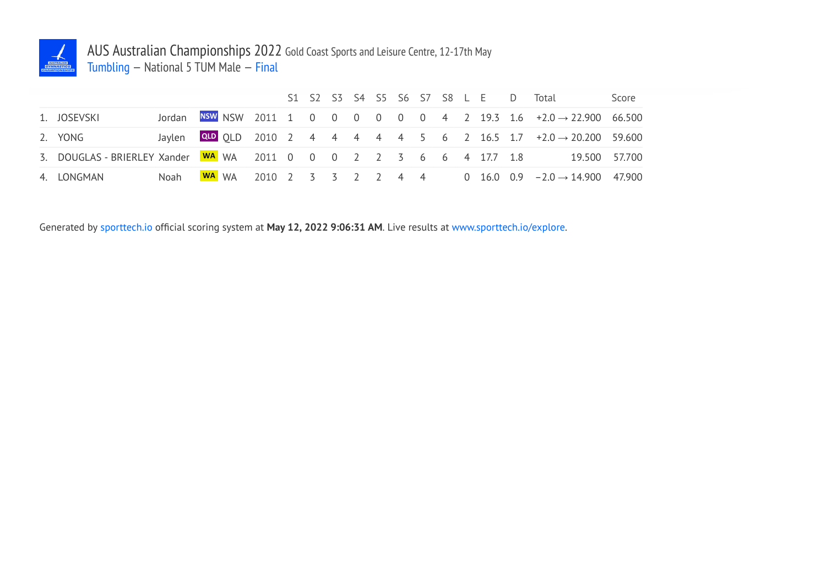

## AUS Australian Championships 2022 Gold Coast Sports and Leisure Centre, 12-17th May Tumbling — National 5 TUM Male — Final

|                                                                                       |      |  |  |  |  |  |  |  | S1 S2 S3 S4 S5 S6 S7 S8 L E D Total                                                  | Score |
|---------------------------------------------------------------------------------------|------|--|--|--|--|--|--|--|--------------------------------------------------------------------------------------|-------|
| 1. JOSEVSKI                                                                           |      |  |  |  |  |  |  |  | Jordan NSW NSW 2011 1 0 0 0 0 0 0 0 4 2 19.3 1.6 $\pm 2.0 \rightarrow 22.900$ 66.500 |       |
| 2. YONG                                                                               |      |  |  |  |  |  |  |  | Jaylen QLD 2010 2 4 4 4 4 4 5 6 2 16.5 1.7 $+2.0 \rightarrow 20.200$ 59.600          |       |
| 3. DOUGLAS - BRIERLEY Xander 80 WA WA 2011 0 0 0 0 2 2 3 6 6 4 17.7 1.8 19.500 57.700 |      |  |  |  |  |  |  |  |                                                                                      |       |
| 4. LONGMAN                                                                            | Noah |  |  |  |  |  |  |  | <b>WA</b> WA 2010 2 3 3 2 2 4 4 0 16.0 0.9 $-2.0 \rightarrow 14.900$ 47.900          |       |

Generated by sporttech.io official scoring system at **May 12, 2022 9:06:31 AM**. Live results at www.sporttech.io/explore.